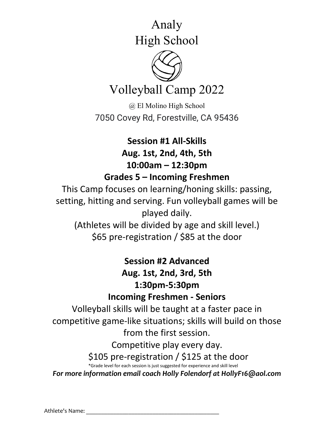Analy

High School



Volleyball Camp 2022

@ El Molino High School 7050 Covey Rd, Forestville, CA 95436

**Session #1 All-Skills Aug. 1st, 2nd, 4th, 5th 10:00am – 12:30pm Grades 5 – Incoming Freshmen**

This Camp focuses on learning/honing skills: passing, setting, hitting and serving. Fun volleyball games will be played daily. (Athletes will be divided by age and skill level.)

\$65 pre-registration / \$85 at the door

**Session #2 Advanced Aug. 1st, 2nd, 3rd, 5th 1:30pm-5:30pm Incoming Freshmen - Seniors**

Volleyball skills will be taught at a faster pace in competitive game-like situations; skills will build on those from the first session.

Competitive play every day.

\$105 pre-registration / \$125 at the door

\*Grade level for each session is just suggested for experience and skill level

*For more information email coach Holly Folendorf at HollyF16@aol.com*